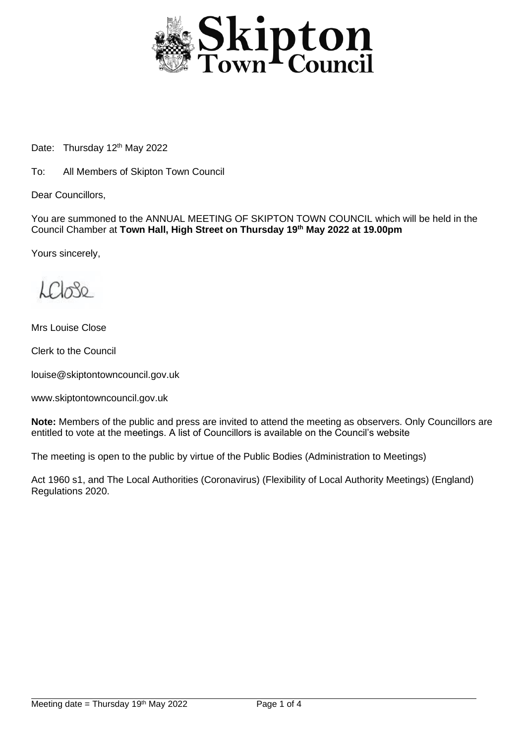

Date: Thursday 12<sup>th</sup> May 2022

To: All Members of Skipton Town Council

Dear Councillors,

You are summoned to the ANNUAL MEETING OF SKIPTON TOWN COUNCIL which will be held in the Council Chamber at **Town Hall, High Street on Thursday 19th May 2022 at 19.00pm**

Yours sincerely,

 $k$  $\Omega$  $30$ 

Mrs Louise Close

Clerk to the Council

louise@skiptontowncouncil.gov.uk

www.skiptontowncouncil.gov.uk

**Note:** Members of the public and press are invited to attend the meeting as observers. Only Councillors are entitled to vote at the meetings. A list of Councillors is available on the Council's website

The meeting is open to the public by virtue of the Public Bodies (Administration to Meetings)

Act 1960 s1, and The Local Authorities (Coronavirus) (Flexibility of Local Authority Meetings) (England) Regulations 2020.

j.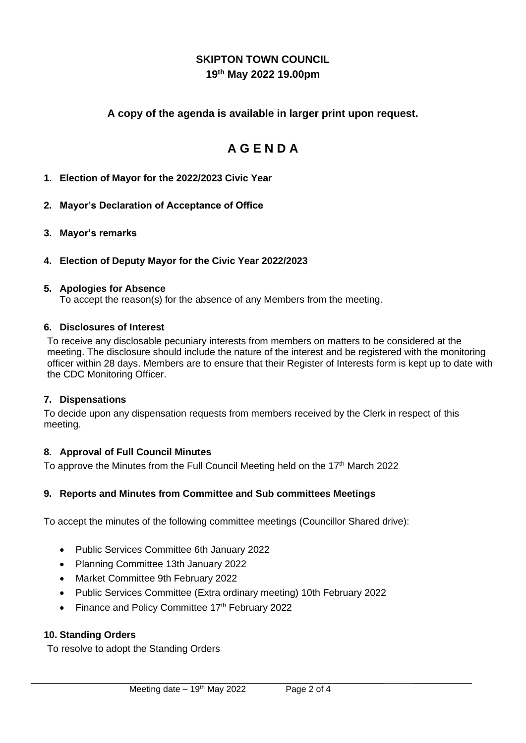## **SKIPTON TOWN COUNCIL 19th May 2022 19.00pm**

## **A copy of the agenda is available in larger print upon request.**

# **A G E N D A**

## **1. Election of Mayor for the 2022/2023 Civic Year**

## **2. Mayor's Declaration of Acceptance of Office**

**3. Mayor's remarks**

## **4. Election of Deputy Mayor for the Civic Year 2022/2023**

#### **5. Apologies for Absence**

To accept the reason(s) for the absence of any Members from the meeting.

#### **6. Disclosures of Interest**

To receive any disclosable pecuniary interests from members on matters to be considered at the meeting. The disclosure should include the nature of the interest and be registered with the monitoring officer within 28 days. Members are to ensure that their Register of Interests form is kept up to date with the CDC Monitoring Officer.

#### **7. Dispensations**

To decide upon any dispensation requests from members received by the Clerk in respect of this meeting.

#### **8. Approval of Full Council Minutes**

To approve the Minutes from the Full Council Meeting held on the 17<sup>th</sup> March 2022

## **9. Reports and Minutes from Committee and Sub committees Meetings**

To accept the minutes of the following committee meetings (Councillor Shared drive):

- Public Services Committee 6th January 2022
- Planning Committee 13th January 2022
- Market Committee 9th February 2022
- Public Services Committee (Extra ordinary meeting) 10th February 2022

\_\_\_\_\_\_\_\_\_\_\_\_\_\_\_\_\_\_\_\_\_\_\_\_\_\_\_\_\_\_\_\_\_\_\_\_\_\_\_\_\_\_\_\_\_\_\_\_\_\_\_\_\_\_\_\_\_\_\_\_ \_\_\_\_\_\_\_\_\_\_

• Finance and Policy Committee 17th February 2022

#### **10. Standing Orders**

To resolve to adopt the Standing Orders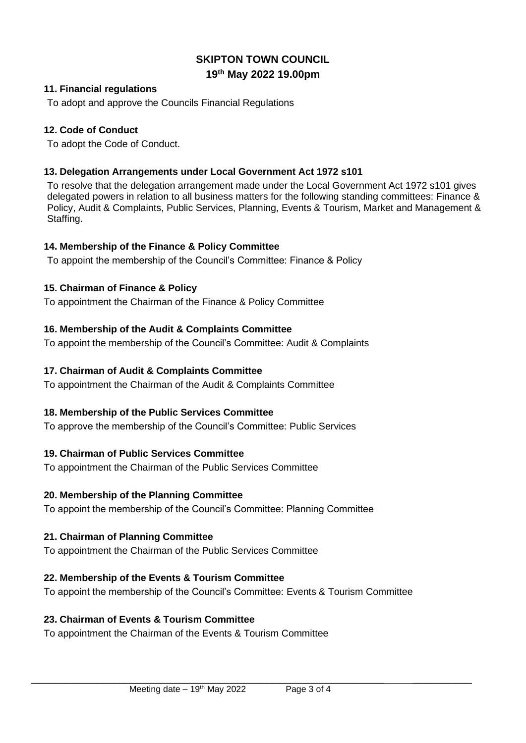## **SKIPTON TOWN COUNCIL 19th May 2022 19.00pm**

#### **11. Financial regulations**

To adopt and approve the Councils Financial Regulations

## **12. Code of Conduct**

To adopt the Code of Conduct.

## **13. Delegation Arrangements under Local Government Act 1972 s101**

To resolve that the delegation arrangement made under the Local Government Act 1972 s101 gives delegated powers in relation to all business matters for the following standing committees: Finance & Policy, Audit & Complaints, Public Services, Planning, Events & Tourism, Market and Management & Staffing.

## **14. Membership of the Finance & Policy Committee**

To appoint the membership of the Council's Committee: Finance & Policy

## **15. Chairman of Finance & Policy**

To appointment the Chairman of the Finance & Policy Committee

## **16. Membership of the Audit & Complaints Committee**

To appoint the membership of the Council's Committee: Audit & Complaints

## **17. Chairman of Audit & Complaints Committee**

To appointment the Chairman of the Audit & Complaints Committee

## **18. Membership of the Public Services Committee**

To approve the membership of the Council's Committee: Public Services

## **19. Chairman of Public Services Committee**

To appointment the Chairman of the Public Services Committee

#### **20. Membership of the Planning Committee**

To appoint the membership of the Council's Committee: Planning Committee

## **21. Chairman of Planning Committee**

To appointment the Chairman of the Public Services Committee

## **22. Membership of the Events & Tourism Committee**

To appoint the membership of the Council's Committee: Events & Tourism Committee

\_\_\_\_\_\_\_\_\_\_\_\_\_\_\_\_\_\_\_\_\_\_\_\_\_\_\_\_\_\_\_\_\_\_\_\_\_\_\_\_\_\_\_\_\_\_\_\_\_\_\_\_\_\_\_\_\_\_\_\_ \_\_\_\_\_\_\_\_\_\_

#### **23. Chairman of Events & Tourism Committee**

To appointment the Chairman of the Events & Tourism Committee